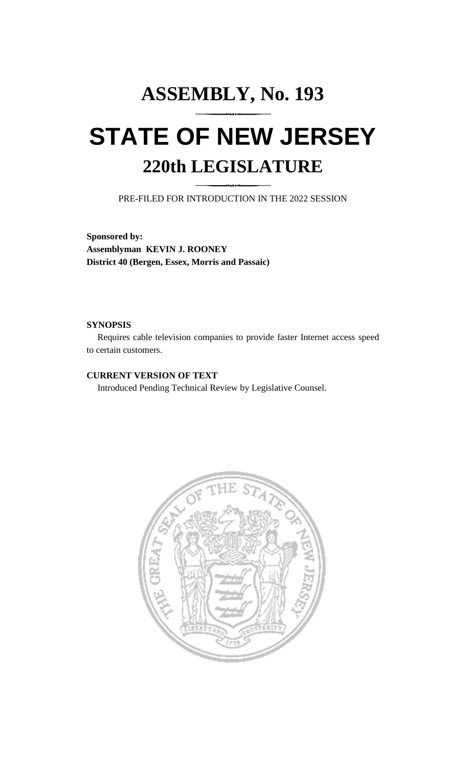# **ASSEMBLY, No. 193 STATE OF NEW JERSEY 220th LEGISLATURE**

PRE-FILED FOR INTRODUCTION IN THE 2022 SESSION

**Sponsored by: Assemblyman KEVIN J. ROONEY District 40 (Bergen, Essex, Morris and Passaic)**

## **SYNOPSIS**

Requires cable television companies to provide faster Internet access speed to certain customers.

# **CURRENT VERSION OF TEXT**

Introduced Pending Technical Review by Legislative Counsel.

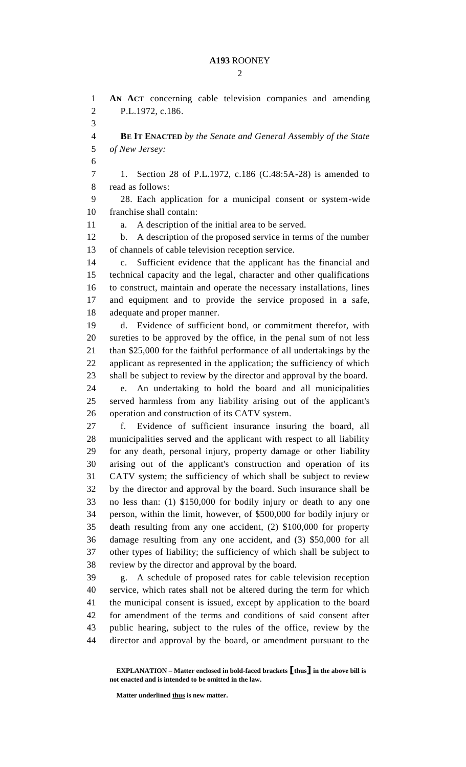### **A193** ROONEY

 $\mathcal{D}_{\mathcal{L}}$ 

 **AN ACT** concerning cable television companies and amending P.L.1972, c.186. **BE IT ENACTED** *by the Senate and General Assembly of the State of New Jersey:* 1. Section 28 of P.L.1972, c.186 (C.48:5A-28) is amended to read as follows: 28. Each application for a municipal consent or system-wide franchise shall contain: a. A description of the initial area to be served. b. A description of the proposed service in terms of the number of channels of cable television reception service. c. Sufficient evidence that the applicant has the financial and technical capacity and the legal, character and other qualifications to construct, maintain and operate the necessary installations, lines and equipment and to provide the service proposed in a safe, adequate and proper manner. d. Evidence of sufficient bond, or commitment therefor, with sureties to be approved by the office, in the penal sum of not less than \$25,000 for the faithful performance of all undertakings by the applicant as represented in the application; the sufficiency of which shall be subject to review by the director and approval by the board. e. An undertaking to hold the board and all municipalities served harmless from any liability arising out of the applicant's operation and construction of its CATV system. f. Evidence of sufficient insurance insuring the board, all municipalities served and the applicant with respect to all liability for any death, personal injury, property damage or other liability arising out of the applicant's construction and operation of its CATV system; the sufficiency of which shall be subject to review by the director and approval by the board. Such insurance shall be no less than: (1) \$150,000 for bodily injury or death to any one person, within the limit, however, of \$500,000 for bodily injury or death resulting from any one accident, (2) \$100,000 for property damage resulting from any one accident, and (3) \$50,000 for all other types of liability; the sufficiency of which shall be subject to review by the director and approval by the board. g. A schedule of proposed rates for cable television reception service, which rates shall not be altered during the term for which the municipal consent is issued, except by application to the board for amendment of the terms and conditions of said consent after public hearing, subject to the rules of the office, review by the director and approval by the board, or amendment pursuant to the

**Matter underlined thus is new matter.**

**EXPLANATION – Matter enclosed in bold-faced brackets [thus] in the above bill is not enacted and is intended to be omitted in the law.**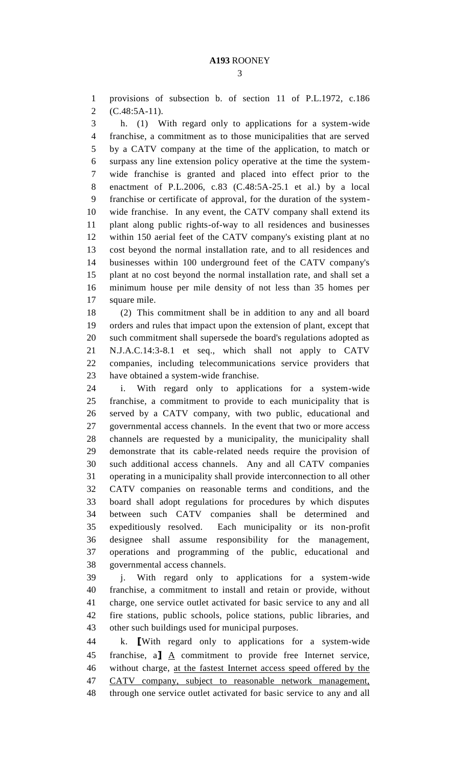provisions of subsection b. of section 11 of P.L.1972, c.186 (C.48:5A-11).

 h. (1) With regard only to applications for a system-wide franchise, a commitment as to those municipalities that are served by a CATV company at the time of the application, to match or surpass any line extension policy operative at the time the system- wide franchise is granted and placed into effect prior to the enactment of P.L.2006, c.83 (C.48:5A-25.1 et al.) by a local franchise or certificate of approval, for the duration of the system- wide franchise. In any event, the CATV company shall extend its plant along public rights-of-way to all residences and businesses within 150 aerial feet of the CATV company's existing plant at no cost beyond the normal installation rate, and to all residences and businesses within 100 underground feet of the CATV company's plant at no cost beyond the normal installation rate, and shall set a minimum house per mile density of not less than 35 homes per square mile.

 (2) This commitment shall be in addition to any and all board orders and rules that impact upon the extension of plant, except that such commitment shall supersede the board's regulations adopted as N.J.A.C.14:3-8.1 et seq., which shall not apply to CATV companies, including telecommunications service providers that have obtained a system-wide franchise.

 i. With regard only to applications for a system-wide franchise, a commitment to provide to each municipality that is served by a CATV company, with two public, educational and governmental access channels. In the event that two or more access channels are requested by a municipality, the municipality shall demonstrate that its cable-related needs require the provision of such additional access channels. Any and all CATV companies operating in a municipality shall provide interconnection to all other CATV companies on reasonable terms and conditions, and the board shall adopt regulations for procedures by which disputes between such CATV companies shall be determined and expeditiously resolved. Each municipality or its non-profit designee shall assume responsibility for the management, operations and programming of the public, educational and governmental access channels.

 j. With regard only to applications for a system-wide franchise, a commitment to install and retain or provide, without charge, one service outlet activated for basic service to any and all fire stations, public schools, police stations, public libraries, and other such buildings used for municipal purposes.

 k. **[**With regard only to applications for a system-wide franchise, a**]** A commitment to provide free Internet service, without charge, at the fastest Internet access speed offered by the CATV company, subject to reasonable network management, through one service outlet activated for basic service to any and all